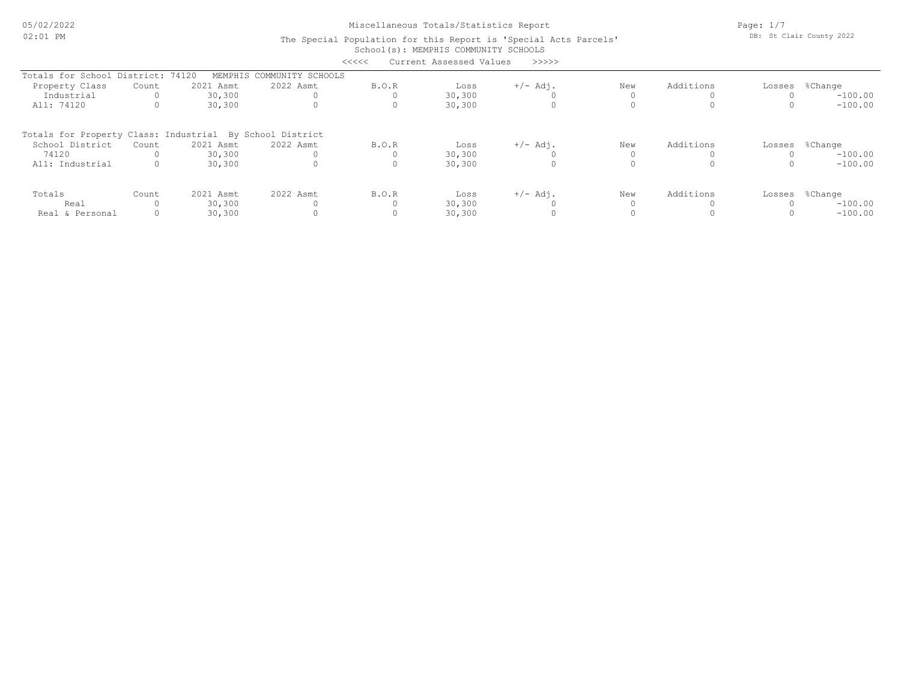05/02/2022 02:01 PM

Miscellaneous Totals/Statistics Report

Page: 1/7 DB: St Clair County 2022

#### School(s): MEMPHIS COMMUNITY SCHOOLS The Special Population for this Report is 'Special Acts Parcels' <<<<< Current Assessed Values >>>>>

| シンシンシ<br>Cullent Assessed values<br>------               |                 |           |                   |       |        |            |     |           |                |
|----------------------------------------------------------|-----------------|-----------|-------------------|-------|--------|------------|-----|-----------|----------------|
| Totals for School                                        | District: 74120 | MEMPHIS   | COMMUNITY SCHOOLS |       |        |            |     |           |                |
| Property Class                                           | Count           | 2021 Asmt | 2022 Asmt         | B.O.R | Loss   | $+/-$ Adj. | New | Additions | Losses %Change |
| Industrial                                               |                 | 30,300    |                   |       | 30,300 |            |     |           | $-100.00$      |
| All: 74120                                               |                 | 30,300    |                   | 0     | 30,300 |            |     |           | $-100.00$      |
| Totals for Property Class: Industrial By School District |                 |           |                   |       |        |            |     |           |                |
| School District                                          | Count           | 2021 Asmt | 2022 Asmt         | B.O.R | Loss   | $+/-$ Adj. | New | Additions | Losses %Change |
| 74120                                                    |                 | 30,300    |                   |       | 30,300 |            |     |           | $-100.00$      |
| All: Industrial                                          |                 | 30,300    |                   |       | 30,300 |            |     |           | $-100.00$      |
| Totals                                                   | Count           | 2021 Asmt | 2022 Asmt         | B.O.R | Loss   | $+/-$ Adj. | New | Additions | Losses %Change |
| Real                                                     |                 | 30,300    |                   |       | 30,300 |            |     |           | $-100.00$      |
| Real & Personal                                          |                 | 30,300    |                   |       | 30,300 |            |     |           | $-100.00$      |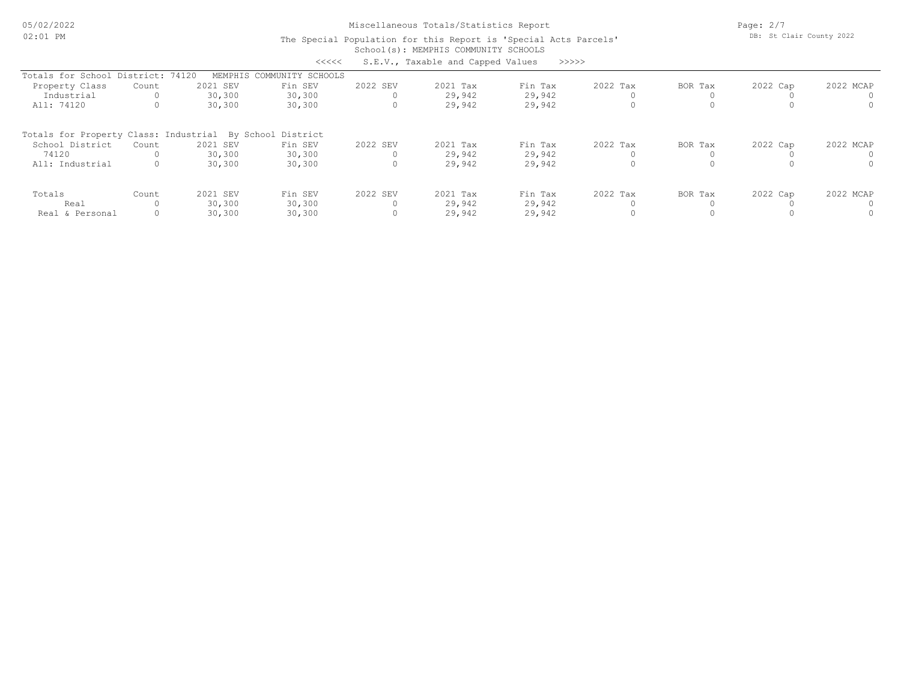05/02/2022 02:01 PM

# Miscellaneous Totals/Statistics Report

Page: 2/7 DB: St Clair County 2022

#### School(s): MEMPHIS COMMUNITY SCHOOLS The Special Population for this Report is 'Special Acts Parcels' <<<<< S.E.V., Taxable and Capped Values >>>>>

| へくくくく<br>s.E.V., Taxable and Capped Values<br>- > > > >  |       |          |                   |          |          |         |          |         |          |           |
|----------------------------------------------------------|-------|----------|-------------------|----------|----------|---------|----------|---------|----------|-----------|
| Totals for School District: 74120                        |       | MEMPHIS  | COMMUNITY SCHOOLS |          |          |         |          |         |          |           |
| Property Class                                           | Count | 2021 SEV | Fin SEV           | 2022 SEV | 2021 Tax | Fin Tax | 2022 Tax | BOR Tax | 2022 Cap | 2022 MCAP |
| Industrial                                               |       | 30,300   | 30,300            |          | 29,942   | 29,942  |          |         |          |           |
| All: 74120                                               |       | 30,300   | 30,300            | $\Omega$ | 29,942   | 29,942  |          |         |          |           |
| Totals for Property Class: Industrial By School District |       |          |                   |          |          |         |          |         |          |           |
| School District                                          | Count | 2021 SEV | Fin SEV           | 2022 SEV | 2021 Tax | Fin Tax | 2022 Tax | BOR Tax | 2022 Cap | 2022 MCAP |
| 74120                                                    |       | 30,300   | 30,300            |          | 29,942   | 29,942  |          |         |          |           |
| All: Industrial                                          |       | 30,300   | 30,300            | $\Omega$ | 29,942   | 29,942  |          |         |          |           |
| Totals                                                   | Count | 2021 SEV | Fin SEV           | 2022 SEV | 2021 Tax | Fin Tax | 2022 Tax | BOR Tax | 2022 Cap | 2022 MCAP |
| Real                                                     |       | 30,300   | 30,300            |          | 29,942   | 29,942  |          |         |          |           |
| Real & Personal                                          |       | 30,300   | 30,300            |          | 29,942   | 29,942  |          |         |          |           |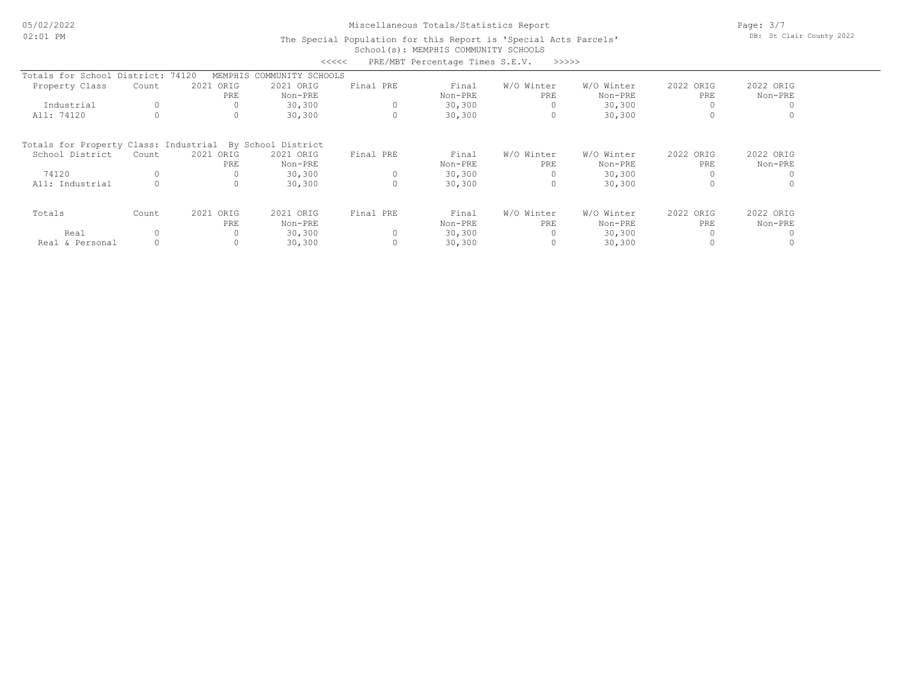# Miscellaneous Totals/Statistics Report

Page: 3/7 DB: St Clair County 2022

### School(s): MEMPHIS COMMUNITY SCHOOLS The Special Population for this Report is 'Special Acts Parcels'

|                                       |       |                  | <<<<               |           | PRE/MBT Percentage Times S.E.V. | >>>>>      |            |           |           |
|---------------------------------------|-------|------------------|--------------------|-----------|---------------------------------|------------|------------|-----------|-----------|
| Totals for School District:           |       | 74120<br>MEMPHIS | COMMUNITY SCHOOLS  |           |                                 |            |            |           |           |
| Property Class                        | Count | 2021 ORIG        | 2021 ORIG          | Final PRE | Final                           | W/O Winter | W/O Winter | 2022 ORIG | 2022 ORIG |
|                                       |       | PRE              | Non-PRE            |           | Non-PRE                         | PRE        | Non-PRE    | PRE       | Non-PRE   |
| Industrial                            |       |                  | 30,300             |           | 30, 300                         |            | 30,300     |           |           |
| All: 74120                            |       | $\Omega$         | 30,300             |           | 30,300                          | 0          | 30,300     | 0         |           |
| Totals for Property Class: Industrial |       |                  | By School District |           |                                 |            |            |           |           |
| School District                       | Count | 2021 ORIG        | 2021 ORIG          | Final PRE | Final                           | W/O Winter | W/O Winter | 2022 ORIG | 2022 ORIG |
|                                       |       | PRE              | Non-PRE            |           | Non-PRE                         | PRE        | Non-PRE    | PRE       | Non-PRE   |
| 74120                                 |       |                  | 30,300             |           | 30,300                          |            | 30,300     | 0         |           |
| All: Industrial                       |       | 0                | 30,300             |           | 30,300                          | 0          | 30,300     | 0         |           |
| Totals                                | Count | 2021 ORIG        | 2021 ORIG          | Final PRE | Final                           | W/O Winter | W/O Winter | 2022 ORIG | 2022 ORIG |
|                                       |       | PRE              | Non-PRE            |           | Non-PRE                         | PRE        | Non-PRE    | PRE.      | Non-PRE   |
| Real                                  |       | $\Omega$         | 30,300             |           | 30,300                          |            | 30,300     | $\Omega$  |           |
| Real & Personal                       |       | 0                | 30,300             |           | 30,300                          | 0          | 30,300     |           |           |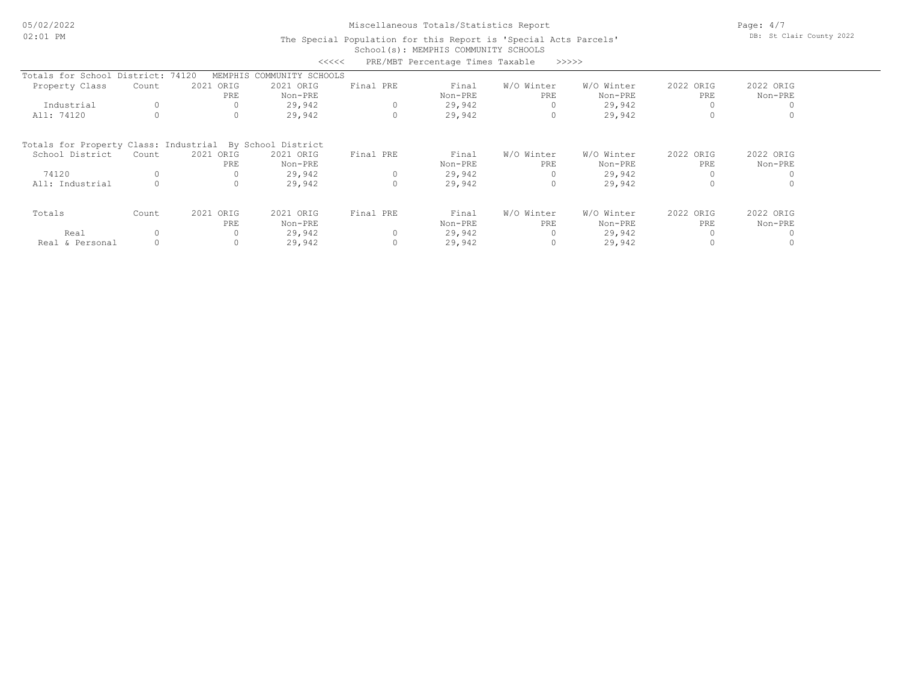# Miscellaneous Totals/Statistics Report

Page: 4/7 DB: St Clair County 2022

### School(s): MEMPHIS COMMUNITY SCHOOLS The Special Population for this Report is 'Special Acts Parcels'

|                                                          |          |              | くくくくく             |           | PRE/MBT Percentage Times Taxable |            | >>>>>      |           |           |
|----------------------------------------------------------|----------|--------------|-------------------|-----------|----------------------------------|------------|------------|-----------|-----------|
| Totals for School District: 74120                        |          | MEMPHIS      | COMMUNITY SCHOOLS |           |                                  |            |            |           |           |
| Property Class                                           | Count    | 2021 ORIG    | 2021 ORIG         | Final PRE | Final                            | W/O Winter | W/O Winter | 2022 ORIG | 2022 ORIG |
|                                                          |          | PRE          | Non-PRE           |           | Non-PRE                          | PRE        | Non-PRE    | PRE       | Non-PRE   |
| Industrial                                               | 0        |              | 29,942            |           | 29,942                           |            | 29,942     |           |           |
| All: 74120                                               |          | $\circ$      | 29,942            | $\Omega$  | 29,942                           | 0          | 29,942     | $\Omega$  |           |
| Totals for Property Class: Industrial By School District |          |              |                   |           |                                  |            |            |           |           |
| School District                                          | Count    | 2021<br>ORIG | 2021 ORIG         | Final PRE | Final                            | W/O Winter | W/O Winter | 2022 ORIG | 2022 ORIG |
|                                                          |          | PRE          | Non-PRE           |           | Non-PRE                          | PRE        | Non-PRE    | PRE       | Non-PRE   |
| 74120                                                    |          |              | 29,942            | $\circ$   | 29,942                           | 0          | 29,942     | 0         |           |
| All: Industrial                                          |          | $\circ$      | 29,942            | 0         | 29,942                           | 0          | 29,942     | $\Omega$  |           |
| Totals                                                   | Count    | 2021<br>ORIG | 2021 ORIG         | Final PRE | Final                            | W/O Winter | W/O Winter | 2022 ORIG | 2022 ORIG |
|                                                          |          | PRE          | Non-PRE           |           | Non-PRE                          | PRE        | Non-PRE    | PRE       | Non-PRE   |
| Real                                                     | $\Omega$ | 0            | 29,942            | $\Omega$  | 29,942                           | 0          | 29,942     | $\Omega$  |           |
| Real & Personal                                          |          | 0            | 29,942            |           | 29,942                           | 0          | 29,942     |           |           |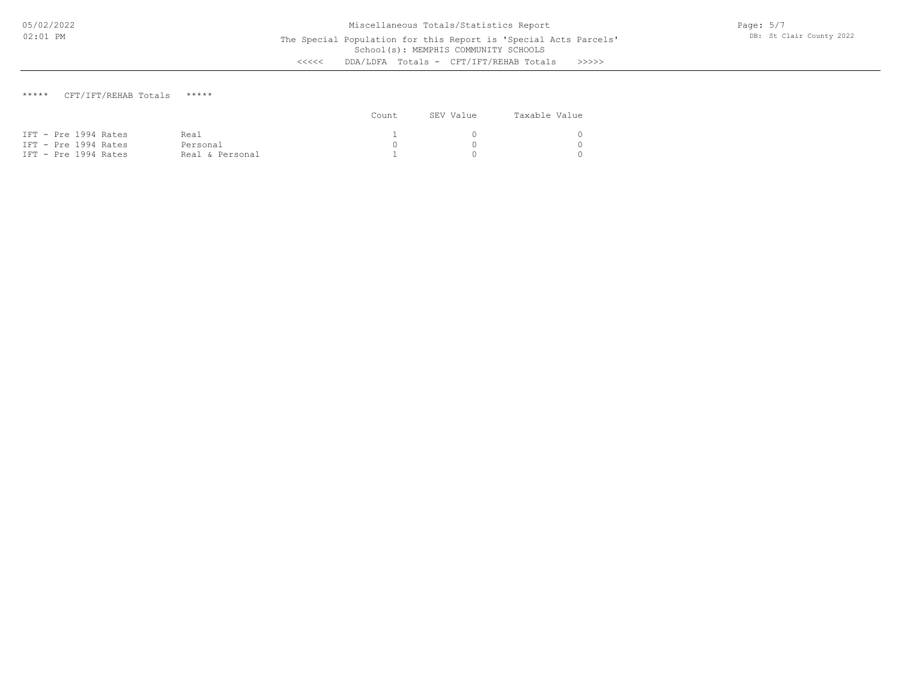### \*\*\*\*\* CFT/IFT/REHAB Totals \*\*\*\*\*

|                      |                 | Count | SEV Value | Taxable Value |
|----------------------|-----------------|-------|-----------|---------------|
| IFT - Pre 1994 Rates | Real            |       |           |               |
| IFT - Pre 1994 Rates | Personal        |       |           |               |
| IFT - Pre 1994 Rates | Real & Personal |       |           |               |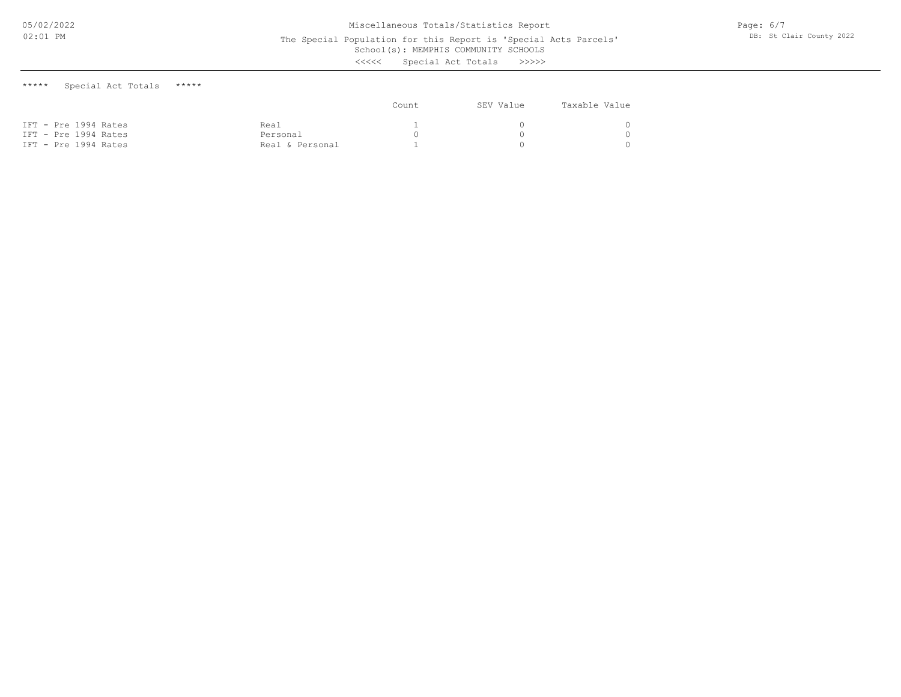The Special Population for this Report is 'Special Acts Parcels'

School(s): MEMPHIS COMMUNITY SCHOOLS

<<<<< Special Act Totals >>>>>

\*\*\*\*\* Special Act Totals \*\*\*\*\*

|                                              |                             | Count | SEV Value | Taxable Value |
|----------------------------------------------|-----------------------------|-------|-----------|---------------|
| IFT - Pre 1994 Rates                         | Real                        |       |           |               |
| IFT - Pre 1994 Rates<br>IFT - Pre 1994 Rates | Personal<br>Real & Personal |       |           |               |